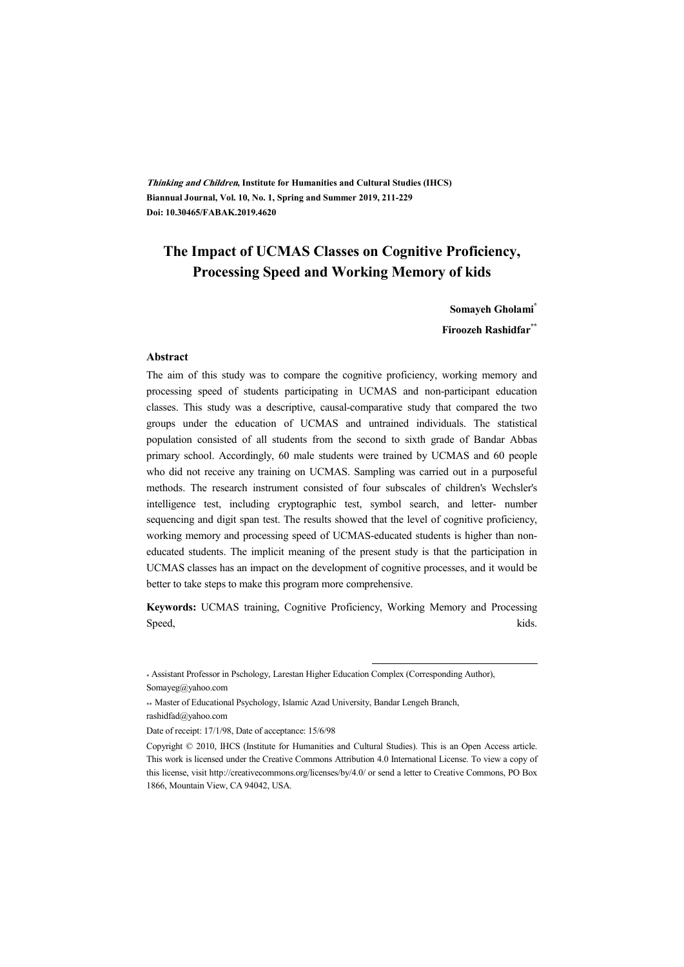**Thinking and Children, Institute for Humanities and Cultural Studies (IHCS) Biannual Journal, Vol. 10, No. 1, Spring and Summer 2019, 211-229 Doi: 10.30465/FABAK.2019.4620** 

## **The Impact of UCMAS Classes on Cognitive Proficiency, Processing Speed and Working Memory of kids**

**Somayeh Gholami\***

**Firoozeh Rashidfar\*\***

#### **Abstract**

The aim of this study was to compare the cognitive proficiency, working memory and processing speed of students participating in UCMAS and non-participant education classes. This study was a descriptive, causal-comparative study that compared the two groups under the education of UCMAS and untrained individuals. The statistical population consisted of all students from the second to sixth grade of Bandar Abbas primary school. Accordingly, 60 male students were trained by UCMAS and 60 people who did not receive any training on UCMAS. Sampling was carried out in a purposeful methods. The research instrument consisted of four subscales of children's Wechsler's intelligence test, including cryptographic test, symbol search, and letter- number sequencing and digit span test. The results showed that the level of cognitive proficiency, working memory and processing speed of UCMAS-educated students is higher than noneducated students. The implicit meaning of the present study is that the participation in UCMAS classes has an impact on the development of cognitive processes, and it would be better to take steps to make this program more comprehensive.

**Keywords:** UCMAS training, Cognitive Proficiency, Working Memory and Processing Speed, kids.

.

<sup>\*</sup> Assistant Professor in Pschology, Larestan Higher Education Complex (Corresponding Author), Somayeg@yahoo.com

<sup>\*\*</sup> Master of Educational Psychology, Islamic Azad University, Bandar Lengeh Branch, rashidfad@yahoo.com

Date of receipt: 17/1/98, Date of acceptance: 15/6/98

Copyright © 2010, IHCS (Institute for Humanities and Cultural Studies). This is an Open Access article. This work is licensed under the Creative Commons Attribution 4.0 International License. To view a copy of this license, visit http://creativecommons.org/licenses/by/4.0/ or send a letter to Creative Commons, PO Box 1866, Mountain View, CA 94042, USA.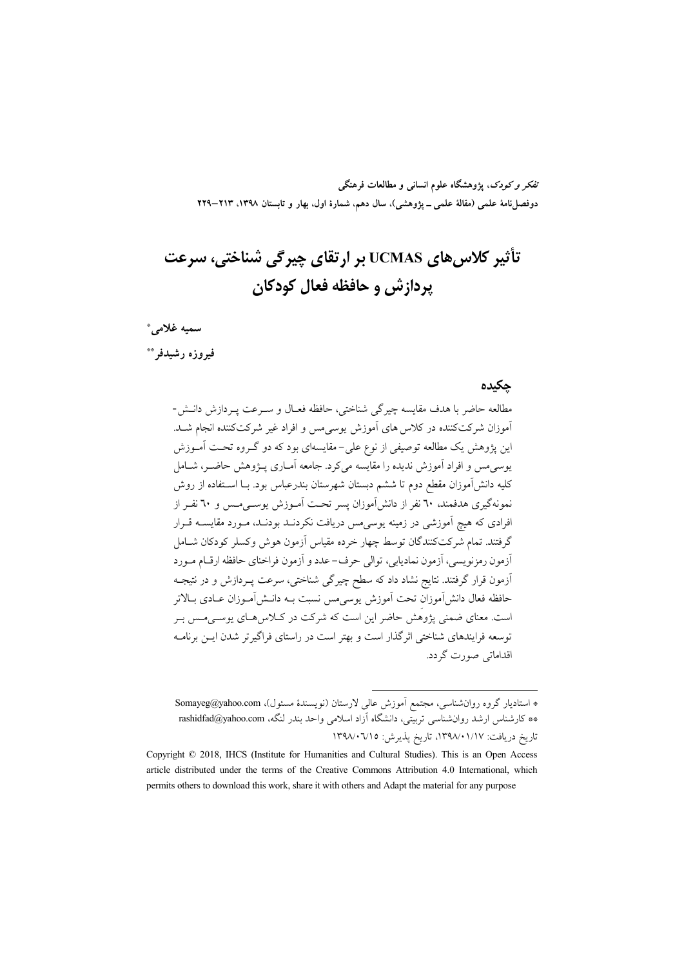تفکر و کودک، یژوهشگاه علوم انسانی و مطالعات فرهنگی دوفصلiامهٔ علمی (مقالهٔ علمی ــ پژوهشی)، سال دهم، شمارهٔ اول، بهار و تابستان ۱۳۹۸، ۲۱۳–۲۲۹

# تأثیر کلاس های UCMAS بر ارتقای چیرگی شناختی، سرعت يردازش و حافظه فعال كودكان

سميه غلامي\*

فيروزه رشيدفر \*\*

#### حكىدە

مطالعه حاضر با هدف مقايسه چيرگي شناختي، حافظه فعـال و سـرعت يـردازش دانــش-.<br>آموزان شرکتکننده در کلاس های آموزش یوسیمس و افراد غیر شرکتکننده انجام شـد. این پژوهش یک مطالعه توصیفی از نوع علی–مقایسهای بود که دو گـروه تحـت آمــوزش یوسی مس و افراد آموزش ندیده را مقایسه میکرد. جامعه آمـاری پـژوهش حاضـر، شـامل کلیه دانشآموزان مقطع دوم تا ششم دبستان شهرستان بندرعباس بود. بــا اســتفاده از روش نمونهگیری هدفمند، ٦٠ نفر از دانشآموزان پسر تحت آمـوزش یوسـیمـس و ٦٠ نفـر از افرادی که هیچ آموزشی در زمینه یوسی<sub>م</sub>س دریافت نکردنــد بودنــد، مــورد مقایســه قــرار گرفتند. تمام شرکتکنندگان توسط چهار خرده مقیاس آزمون هوش وکسلر کودکان شـامل ۔<br>آزمون رمزنویسی، آزمون نمادیابی، توالی حرف- عدد و آزمون فراخنای حافظه ارقــام مــورد ۔<br>آزمون قرار گرفتند. نتایج نشاد داد که سطح چیرگی شناختی، سرعت پــردازش و در نتیجــه حافظه فعال دانش آموزان تحت آموزش يوسىمس نسبت بـه دانـش[مـوزان عـادى بـالاتر است. معنای ضمنی پژوهش حاضر این است که شرکت در کـلاس۵حـای پوسـیمـس بـر توسعه فرایندهای شناختی اثر گذار است و پهتر است در راستای فراگیرتر شدن این برنامیه اقداماتی صورت گردد.

<sup>\*</sup> استادیار گروه روان شناسی، مجتمع آموزش عالی لارستان (نویسندهٔ مسئول)، Somayeg@yahoo.com \*\* كارشناس ارشد روانشناسي تربيتي، دانشگاه آزاد اسلامي واحد بندر لنگه، rashidfad@yahoo.com تاريخ دريافت: ١٧٩٨/٠١/١٧، تاريخ يذيرش: ١٣٩٨/٠٦/١٥

Copyright © 2018, IHCS (Institute for Humanities and Cultural Studies). This is an Open Access article distributed under the terms of the Creative Commons Attribution 4.0 International, which permits others to download this work, share it with others and Adapt the material for any purpose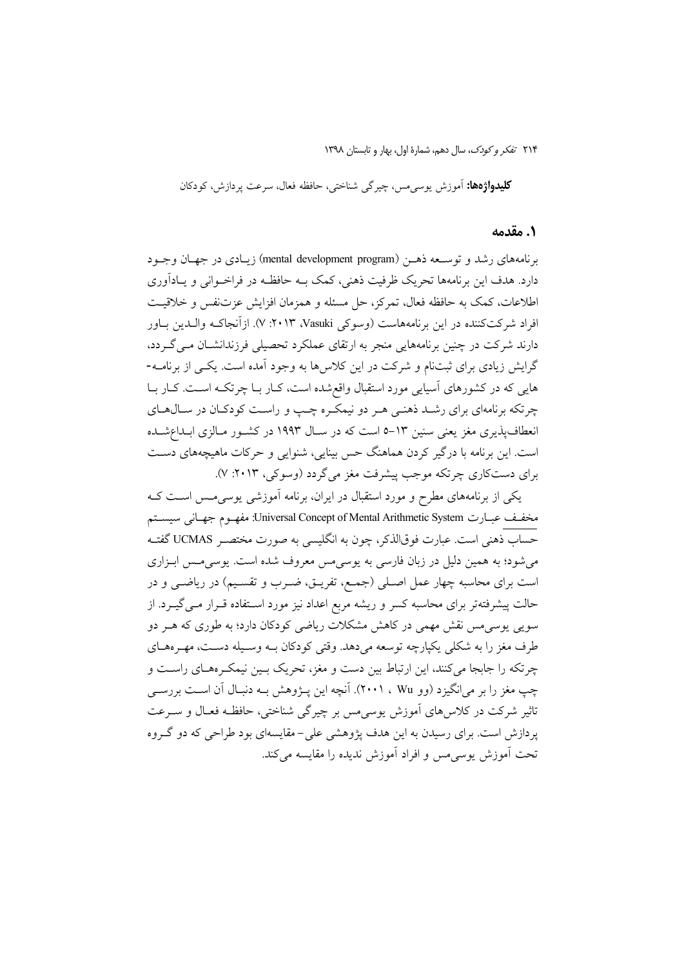**کليدواژهها:** آموزش يوسى مس، چيرگي شناختي، حافظه فعال، سرعت يردازش، کو دکان

#### **۱. مقدمه**

برنامههای رشد و توسیعه ذهبن (mental development program) زیبادی در جهبان وجبود دارد. هدف این برنامهها تحریک ظرفیت ذهنی، کمک بــه حافظــه در فراخــوانی و یــاداَوری اطلاعات، كمك به حافظه فعال، تمركز، حلَّ مسئله و همزمان افزايش عزتنفس و خلاقيت افراد شرکتکننده در این برنامههاست (وسوکی V ۱۲۰۱۳، ۷). ازآنجاکـه والـدین بــاور دارند شرکت در چنین برنامههایی منجر به ارتقای عملکرد تحصیلی فرزندانشــان مــی گــردد، گرایش زیادی برای ثبتنام و شرکت در این کلاسها به وجود آمده است. یکی از برنامـه-هایی که در کشورهای آسیایی مورد استقبال واقع شده است، کـار بـا چرتکـه اسـت. کـار بـا چرتکه برنامهای برای رشـد ذهنـی هـر دو نیمکـره چـب و راسـت کودکـان در سـال۵حـای انعطافپذیری مغز یعنی سنین ۱۳–۵ است که در سـال ۱۹۹۳ در کشـور مـالزی ابـداعشـده است. این برنامه با درگیر کردن هماهنگ حس بینایی، شنوایی و حرکات ماهیچههای دست برای دستکاری چرتکه موجب پیشرفت مغز میگردد (وسوکی، ۲۰۱۳: ۷).

یکی از برنامههای مطرح و مورد استقبال در ایران، برنامه آموزشی پوسی مس است ک مخفـف عبــارت Universal Concept of Mental Arithmetic System: مفهـوم جهـاني سيســتم حساب ذهني است. عبارت فوقالذكر، چون به انگليسي به صورت مختصـر UCMAS گفتـه می شود؛ به همین دلیل در زبان فارسی به یوسی مس معروف شده است. یوسی مس ابـزاری است برای محاسبه چهار عمل اصلی (جمع، تفریـق، ضـرب و تقسـیم) در ریاضـی و در حالت پیشرفتهتر برای محاسبه کسر و ریشه مربع اعداد نیز مورد استفاده قـرار مـیگیـرد. از سویی پوسی مس نقش مهمی در کاهش مشکلات ریاضی کودکان دارد؛ به طوری که هــر دو طرف مغز را به شکلی یکپارچه توسعه مے دهد. وقتی کودکان بـه وسـبله دسـت، مهـرەهــای چرتکه را جابجا میکنند، این ارتباط بین دست و مغز، تحریک بـین نیمکـرههـای راسـت و چپ مغز را بر میانگیزد (وو ۲۰۰۱ ، ۲۰۰۱). آنچه این پـژوهش بـه دنبـال آن اسـت بررســی تاثیر شرکت در کلاس۵های آموزش یوسی۰س بر چیرگی شناختی، حافظـه فعـال و ســرعت پردازش است. برای رسیدن به این هدف پژوهشی علی-مقایسهای بود طراحی که دو گروه تحت آموزش پوسے مس و افراد آموزش ندیدہ را مقایسه مے کند.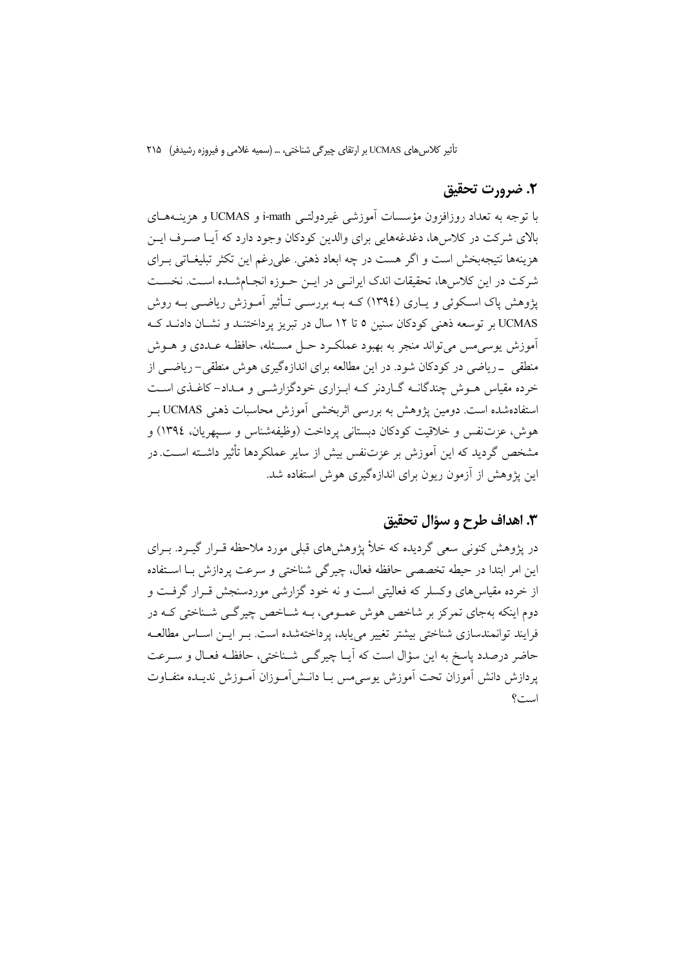## 2. ضرورت تحقیق

با توجه به تعداد روزافزون مؤسسات آموزشی غیردولتبی j-math و UCMAS و هزینـههـای بالای شرکت در کلاسها، دغدغههایی برای والدین کودکان وجود دارد که آیـا صـرف ایــن هزینهها نتیجهپخش است و اگر هست در چه ابعاد ذهنی. علی رغم این تکثر تبلیغیاتی بیرای شرکت در این کلاسها، تحقیقات اندک ایرانـی در ایـن حـوزه انجـامشــده اسـت. نخسـت یژوهش پاک اسکوئی و پــاری (١٣٩٤) کــه بــه بررســی تــأثیر آمــوزش ریاضــی بــه روش UCMAS بر توسعه ذهني كودكان سنين ٥ تا ١٢ سال در تبريز يرداختنـد و نشـان دادنـد كـه آموزش يوسى مس مى تواند منجر به بهبود عملك دحـل مسـئله، حافظـه عـددى و هــوش منطقی \_ریاضی در کودکان شود. در این مطالعه برای اندازهگیری هوش منطقی–ریاضــی از خرده مقیاس هـوش چندگانــه گــاردنر کــه ابــزاری خودگزارشــی و مــداد– کاغــذی اســت استفادهشده است. دومین یژوهش به بررسی اثربخشی آموزش محاسبات ذهنی UCMAS ب هوش، عزتنفس و خلاقیت کودکان دبستانی پرداخت (وظیفهشناس و سـیهریان، ١٣٩٤) و مشخص گردید که این آموزش بر عزتنفس بیش از سایر عملکردها تأثیر داشـته اسـت.در این پژوهش از آزمون ریون برای اندازهگیری هوش استفاده شد.

## ٣. اهداف طرح و سؤال تحقيق

در پژوهش کنونی سعی گردیده که خلأ پژوهشهای قبلی مورد ملاحظه قــرار گیــرد. بــرای این امر ابتدا در حیطه تخصصی حافظه فعال، چیرگی شناختی و سرعت پردازش بـا استفاده از خرده مقیاس های وکسلر که فعالیتی است و نه خود گزارشی موردسنجش قبرار گرفت و دوم اینکه بهجای تمرکز بر شاخص هوش عمـومی، بـه شـاخص چیرگـی شـناختی کـه در فرایند توانمندسازی شناختی پیشتر تغییر می باید، پرداختهشده است. پیر این اسپاس مطالعیه حاضر درصدد پاسخ به این سؤال است که آپیا چیر گے شناختی، حافظـه فعـال و سـرعت يردازش دانش آموزان تحت آموزش يوسىمس بــا دانــش آمــوزان آمــوزش نديــده متفــاوت است؟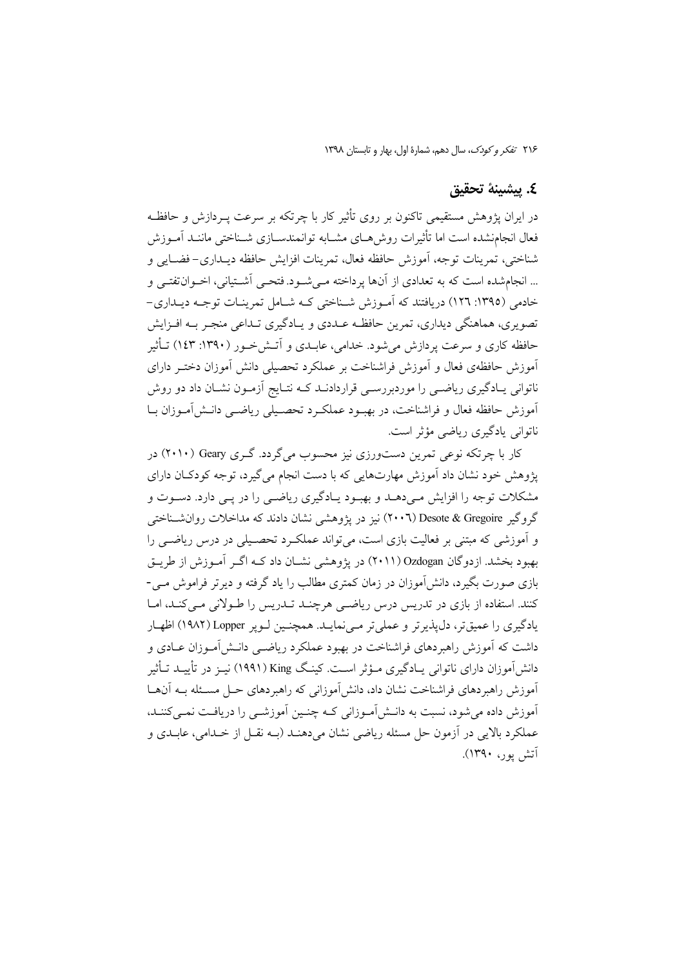## ٤. بيشينة تحقيق

در ایران یژوهش مستقیمی تاکنون بر روی تأثیر کار یا چرتکه بر سرعت پیردازش و حافظـه فعال انجامنشده است اما تأثيرات روش هـاي مشــابه توانمندســازي شــناختي ماننــد آمــوزش شناختی، تمرینات توجه، آموزش حافظه فعال، تمرینات افزایش حافظه دیپداری-فضیایی و ... انجامشده است که به تعدادی از آنها پرداخته مـی شـود. فتحـی آشـتیانی، اخـوان تفتـی و خادمی (١٣٩٥: ١٢٦) دریافتند که اَمـوزش شـناختی کـه شـامل تمرینـات توجـه دیـداری-۔<br>تصویری، هماهنگی دیداری، تمرین حافظـه عــددی و پــادگیری تــداعی منجـر بــه افــزایش حافظه کاری و سرعت یردازش می شود. خدامی، عابیدی و آتـش خــور (۱۳۹۰: ۱٤۳) تــأثیر آموزش حافظهى فعال و آموزش فراشناخت بر عملكرد تحصيلي دانش آموزان دختـر داراي ناتوانی پـادگیری ریاضـی را موردبررسـی قراردادنـد کــه نتـایج آزمـون نشـان داد دو روش آموزش حافظه فعال و فراشناخت، در بهبود عملک د تحصیلی ریاضبی دانـش[آمـوزان بـا ناتوانی یادگیری ریاضی مؤثر است.

کار با چرتکه نوعی تمرین دستورزی نیز محسوب می گردد. گـری Geary (۲۰۱۰) در يژوهش خود نشان داد آموزش مهارتهايي كه با دست انجام مي گيرد، توجه كودكــان داراي مشکلات توجه را افزایش مے دهـد و بهبـود پـادگیری ریاضـی را در یـی دارد. دسـوت و گروگیر Desote & Gregoire (۲۰۰٦) نیز در یژوهشی نشان دادند که مداخلات روان شناختی و آموزشی که مبتنی بر فعالیت بازی است، می تواند عملک د تحصـیلی در درس ریاضــی را بهبود بخشد. ازدوگان Ozdogan (۲۰۱۱) در پژوهشی نشــان داد کــه اگــر آمــوزش از طريــق .<br>بازی صورت بگیرد، دانشآموزان در زمان کمتری مطالب را یاد گرفته و دیرتر فراموش مـی-کنند. استفاده از بازی در تدریس درس ریاضی هرچنـد تـدریس را طـولانی مـی کنـد، امـا یادگیری را عمیقتر، دل یذیرتر و عملیتر مے نمایـد. همچنـین لـویر Lopper (١٩٨٢) اظهـار داشت که آموزش راهبردهای فراشناخت در بهبود عملکرد ریاضــی دانــش[مــوزان عــادی و دانشآموزان دارای ناتوانی پــادگیری مــؤثر اســت. کینـگ King (۱۹۹۱) نیــز در تأییــد تــأثیر آموزش راهبردهای فراشناخت نشان داد، دانش آموزانی که راهبردهای حـل مسـئله بــه آنهــا آموزش داده می شود، نسبت به دانــش آمــوزانی کــه چنــین آموزشــی را دریافـت نمــی کننــد، عملکرد بالایی در آزمون حل مسئله ریاضی نشان میدهنـد (بـه نقــل از خــدامی، عابــدی و آتش یور، ۱۳۹۰).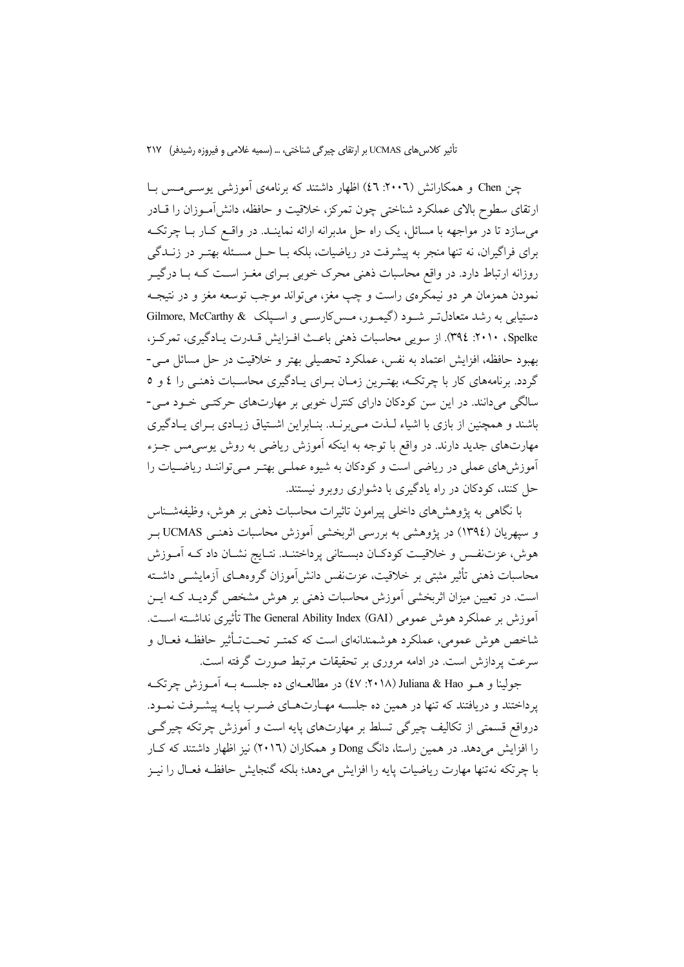چن Chen و همکارانش (۲۰۰۲: ٤٦) اظهار داشتند که برنامهی آموزشی یوسی مس بـا ارتقای سطوح بالای عملکرد شناختی چون تمرکز، خلاقیت و حافظه، دانشآمـوزان را قــادر می سازد تا در مواجهه با مسائل، یک راه حل مدبرانه ارائه نماینــد. در واقــع کــار بــا چرتکــه برای فراگیران، نه تنها منجر به پیشرفت در ریاضیات، بلکه بــا حــل مســئله بهتــر در زنــدگی روزانه ارتباط دارد. در واقع محاسبات ذهنی محرک خوبی بـرای مغــز اسـت کــه بــا درگيــر نمودن همزمان هر دو نيمكرهي راست و چپ مغز، مي تواند موجب توسعه مغز و در نتيجـه دستیابی به رشد متعادل تـر شـود (گیمـور، مـس کارسـی و اسـیلک & Gilmore, McCarthy Spelke، ۲۰۱۰: ۳۹٤). از سویی محاسبات ذهنی باعث افزایش قـدرت پـادگیری، تمرکز، بهبود حافظه، افزایش اعتماد به نفس، عملکرد تحصیلی بهتر و خلاقیت در حل مسائل مـی-گردد. برنامههای کار با چرتکـه، بهتـرین زمـان بـرای یـادگیری محاسـبات ذهنـی را ٤ و ٥ سالگی میدانند. در این سن کودکان دارای کنترل خوبی بر مهارتهای حرکتبی خـود مـی-باشند و همچنین از بازی با اشیاء لـذت مـی برنـد. بنـابراین اشـتیاق زیـادی بـرای پـادگیری مهارتهای جدید دارند. در واقع با توجه به اینکه آموزش ریاضی به روش پوسه مس جـزء آموزش های عملی در ریاضی است و کودکان به شیوه عملـی بهتـر مـیتواننـد ریاضـیات را حل کنند، کودکان در راه یادگیری با دشواری روبرو نیستند.

با نگاهی به یژوهش های داخلی پیرامون تاثیرات محاسبات ذهنی بر هوش، وظیفهشـناس و سپهريان (١٣٩٤) در پژوهشي به بررسي اثربخشي آموزش محاسبات ذهنـي UCMAS بـر هوش، عزتنفس و خلاقیت کودکـان دبسـتانی پرداختنـد. نتـایج نشـان داد کـه آمـوزش محاسبات ذهني تأثير مثبتي بر خلاقيت، عزتنفس دانشlموزان گروههـاي آزمايشــي داشــته است. در تعیین میزان اثربخشی آموزش محاسبات ذهنی بر هوش مشخص گردیـد کـه ایــن آموزش بر عملكرد هوش عمومي The General Ability Index (GAI) تأثيري نداشــته اســت. شاخص هوش عمومي، عملكرد هوشمندانهاي است كه كمتبر تحـتتأثير حافظـه فعـال و سرعت پردازش است. در ادامه مروری بر تحقیقات مرتبط صورت گرفته است.

جولینا و هـو Juliana & Hao (۲۰۱۸: ٤٧) در مطالعـهای ده جلســه بـه آمـوزش چرتکـه یرداختند و دریافتند که تنها در همین ده جلسـه مهـارتهـای ضـرب پایـه پیشـرفت نمـود. درواقع قسمتی از تکالیف چیرگی تسلط بر مهارتهای پایه است و اَموزش چرتکه چیرگے را افزایش می دهد. در همین راستا، دانگ Dong و همکاران (۲۰۱٦) نیز اظهار داشتند که کـار با چرتکه نهتنها مهارت رياضيات پايه را افزايش مي دهد؛ بلکه گنجايش حافظـه فعــال را نيــز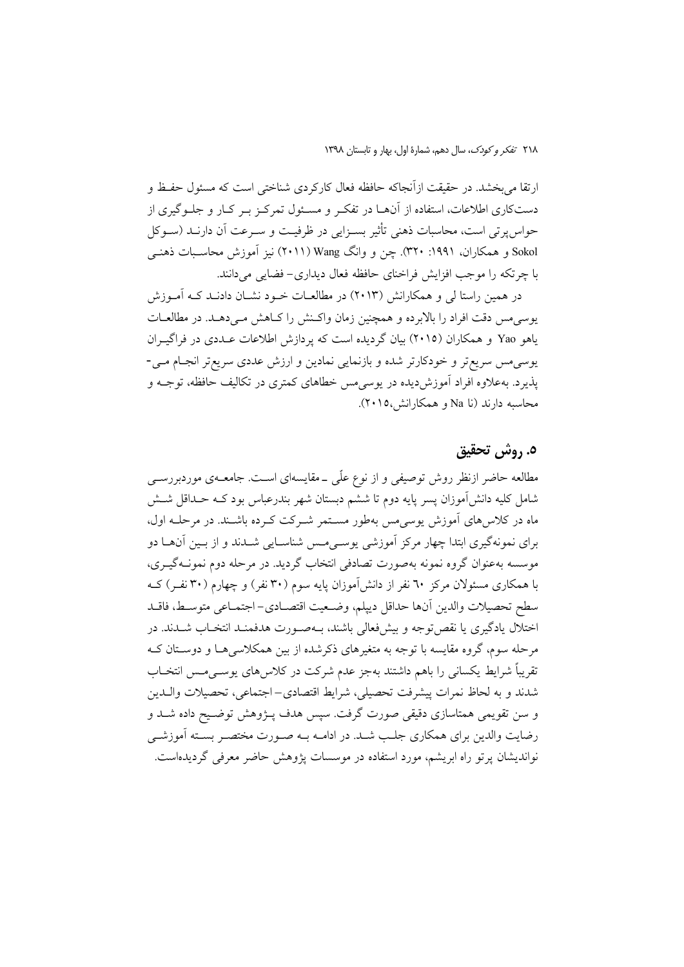٢١٨ تفكر وكودك، سال دهم، شمارة اول، بهار و تابستان ١٣٩٨

ارتقا مي بخشد. در حقيقت ازآنجاكه حافظه فعال كاركردي شناختي است كه مسئول حفيظ و دستکاری اطلاعات، استفاده از آنهــا در تفکـر و مســئول تمرکـز بــر کــار و جلــوگیری از حواس پرتی است، محاسبات ذهنی تأثیر بسـزایی در ظرفیـت و سـرعت آن دارنــد (ســوکل Sokol و همکاران. ۱۹۹۱: ۳۲۰). چن و وانگ Wang (۲۰۱۱) نیز آموزش محاسبات ذهنـی با چرتکه را موجب افزایش فراخنای حافظه فعال دیداری- فضایبی میدانند.

در همین راستا لی و همکارانش (۲۰۱۳) در مطالعـات خـود نشــان دادنــد کــه آمــوزش یوسی مس دقت افراد را بالابرده و همچنین زمان واکـنش را کـاهش مـیدهـد. در مطالعـات یاهو Yao و همکاران (۲۰۱۵) بیان گردیده است که پردازش اطلاعات عـددی در فراگیـران يوسي مس سريع تر و خودكارتر شده و بازنمايي نمادين و ارزش عددي سريع تر انجـام مـي-پذیرد. بهعلاوه افراد آموزشدیده در یوسیهس خطاهای کمتری در تکالیف حافظه، توجـه و محاسبه دارند (نا Na و همکارانش،۲۰۱۵).

# ٥. روش تحقيق

مطالعه حاضر ازنظر روش توصیفی و از نوع علّی ــ مقایسهای اسـت. جامعــهی موردبررســی شامل کلیه دانش[موزان پسر پایه دوم تا ششم دبستان شهر بندرعباس بود کـه حـداقل شــش ماه در کلاسرهای آموزش یوسی مس بهطور مستمر شـرکت کـرده باشـند. در مرحلـه اول، برای نمونهگیری ابتدا چهار مرکز آموزشی یوسـی۵مـس شناسـایی شــدند و از بــین آن۱ـا دو موسسه بهعنوان گروه نمونه بهصورت تصادفی انتخاب گردید. در مرحله دوم نمونــهگیــری، با همکاری مسئولان مرکز ٦٠ نفر از دانش[موزان پایه سوم (٣٠ نفر) و چهارم (٣٠ نفـر) کــه سطح تحصيلات والدين أنها حداقل دييلم، وضـعيت اقتصـادي- اجتمـاعي متوسـط، فاقــد اختلال یادگیری یا نقص توجه و بیشفعالی باشند، بـهصـورت هدفمنـد انتخـاب شــدند. در مرحله سوم، گروه مقایسه با توجه به متغیرهای ذکرشده از بین همکلاسی هـا و دوسـتان کـه تقریباً شرایط یکسانی را باهم داشتند بهجز عدم شرکت در کلاس های یوســی مــس انتخــاب شدند و به لحاظ نمرات پیشرفت تحصیلی، شرایط اقتصادی–اجتماعی، تحصیلات والـدین و سن تقویمی همتاسازی دقیقی صورت گرفت. سپس هدف پـژوهش توضـیح داده شــد و رضایت والدین برای همکاری جلب شـد. در ادامـه بـه صـورت مختصـر بسـته آموزشـی نواندیشان پرتو راه ابریشم، مورد استفاده در موسسات پژوهش حاضر معرفی گردیدهاست.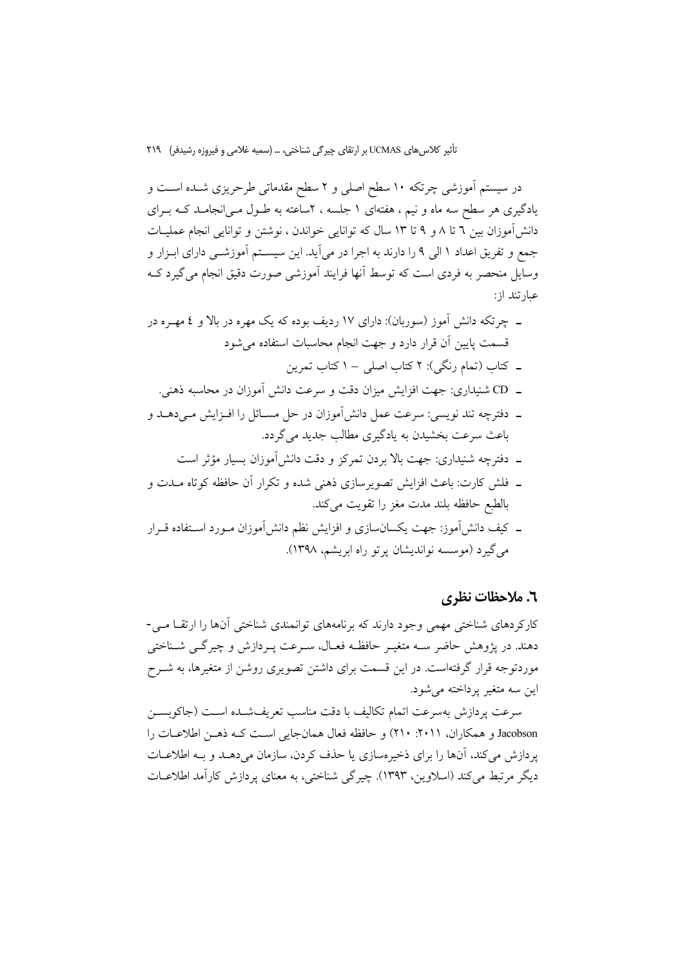در سیستم آموزشی چرتکه ۱۰ سطح اصلی و ۲ سطح مقدماتی طرحریزی شـده اسـت و یادگیری هر سطح سه ماه و نیم ، هفتهای ۱ جلسه ، ۲ساعته به طــول مــی|نجامــد کــه بــرای دانش آموزان بین ٦ تا ٨ و ٩ تا ١٣ سال كه توانایی خواندن ، نوشتن و توانایی انجام عملیـات جمع و تفريق اعداد ١ الى ٩ را دارند به اجرا در مي آيد. اين سيســتم آموزشــي داراي ابـزار و وسایل منحصر به فردی است که توسط آنها فرایند آموزشی صورت دقیق انجام می گیرد ک عبارتند از:

- ـ فلش کارت: باعث افزایش تصویرسازی ذهنی شده و تکرار آن حافظه کوتاه مــدت و بالطبع حافظه بلند مدت مغز را تقويت مى كند.
- ـ كيف دانش[موز: جهت يكسانسازي و افزايش نظم دانش[موزان مـورد اســتفاده قــرار مي گيرد (موسسه نوانديشان پر تو راه ابريشم، ١٣٩٨).

## ٦. ملاحظات نظري

کارکردهای شناختی مهمی وجود دارند که برنامههای توانمندی شناختی آنها را ارتقــا مــی-دهند. در پژوهش حاضر ســه متغيــر حافظــه فعــال، ســرعت پــردازش و چيرگــي شــناختـي موردتوجه قرار گرفتهاست. در این قسمت برای داشتن تصویری روشن از متغیرها، به شــرح اين سه متغير پرداخته مي شود.

سرعت پردازش بهسرعت اتمام تكاليف با دقت مناسب تعريفشـده اسـت (جاكوبســز Jacobson و همكاران، ٢٠١١: ٢١٠) و حافظه فعال همان جايي است كـه ذهـن اطلاعـات را پردازش می کند، آنها را برای ذخیرهسازی یا حذف کردن، سازمان می دهـد و بـه اطلاعـات دیگر مرتبط میکند (اسلاوین، ۱۳۹۳). چیرگی شناختی، به معنای پردازش کارآمد اطلاعـات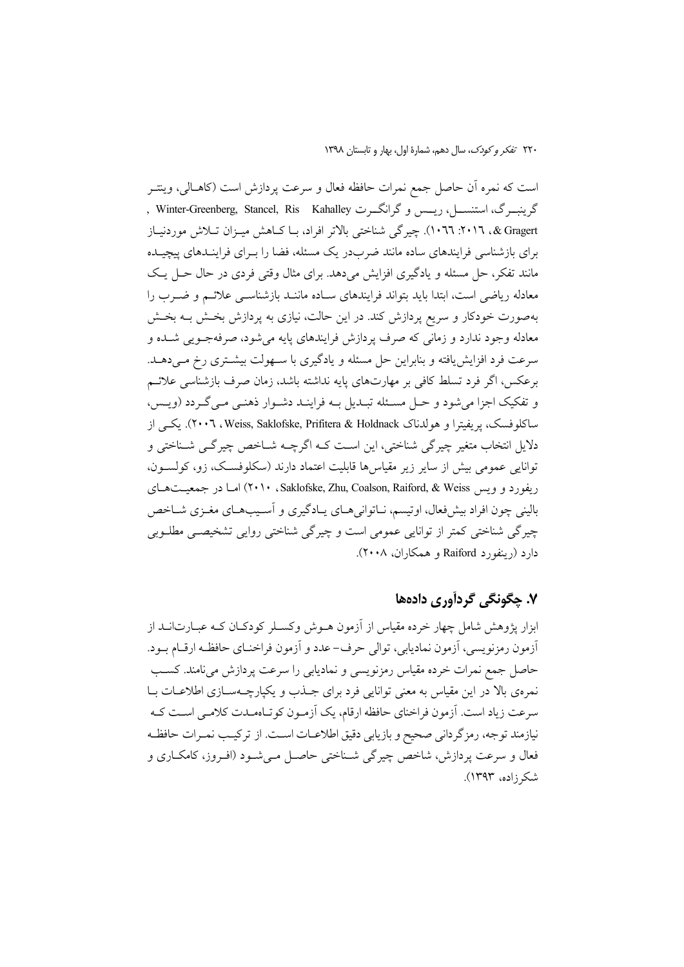است که نمره اّن حاصل جمع نمرات حافظه فعال و سرعت پردازش است (کاهـالی، وینتــر گرینبــرگ، استنســـل، ریـــس و گرانگـــرت Winter-Greenberg, Stancel, Ris Kahalley , & Gragert. ٢٠١٦: ٢٠١٦). چيرگي شناختي بالاتر افراد، بــا كــاهش ميــزان تــلاش موردنيــاز برای بازشناسی فرایندهای ساده مانند ضربدر یک مسئله، فضا را بـرای فراینـدهای پیچیـده مانند تفکر، حل مسئله و یادگیری افزایش میدهد. برای مثال وقتی فردی در حال حـل یـک معادله ریاضی است، ابتدا باید بتواند فرایندهای سـاده ماننـد بازشناسـی علائـم و ضـرب را بهصورت خودکار و سریع پردازش کند. در این حالت، نیازی به پردازش بخـش بــه بخـش معادله وجود ندارد و زمانی که صرف پردازش فرایندهای پایه می شود، صرفهجـویی شـده و سرعت فرد افزایش یافته و بنابراین حل مسئله و یادگیری با ســهولت بیشــتری رخ مــیدهــد. برعکس، اگر فرد تسلط کافی بر مهارتهای پایه نداشته باشد، زمان صرف بازشناسی علائـم و تفکیک اجزا میشود و حـل مسـئله تبـدیل بـه فراینـد دشـوار ذهنـی مـی گـردد (ویـس، ساکلوفسک، یر بفیترا و هولدناک Y۰۰٦، Weiss, Saklofske, Prifitera & Holdnack). یکے از دلایل انتخاب متغیر چیرگی شناختی، این اسـت کـه اگرچـه شـاخص چیرگـی شـناختی و توانایی عمومی بیش از سایر زیر مقیاس ها قابلیت اعتماد دارند (سکلوفسک، زو، کولسون، ریفورد و ویس Saklofske, Zhu, Coalson, Raiford, & Weiss، ۲۰۱۰) امـا در جمعیتهای بالینی چون افراد بیشفعال، اوتیسم، نـاتوانی۵ـای پـادگیری و آسـیبهـای مغـزی شـاخص چیرگی شناختی کمتر از توانایی عمومی است و چیرگی شناختی روایی تشخیصــ مطلــوبی دارد (رینفورد Raiford و همکاران، ۲۰۰۸).

# ۷. چڳونگي ڳردآوري دادهها

ابزار پژوهش شامل چهار خرده مقیاس از آزمون هــوش وکســلر کودکــان کــه عبــارت|نــد از أزمون رمزنويسي، أزمون نماديابي، توالي حرف-عدد و أزمون فراخنـاي حافظـه ارقــام بــود. حاصل جمع نمرات خرده مقياس رمزنويسي و نماديابي را سرعت پردازش ميiامند. كسب نمرهی بالا در این مقیاس به معنی توانایی فرد برای جـذب و یکپارچـهسـازی اطلاعـات بـا سرعت زياد است. آزمون فراخناي حافظه ارقام، يک آزمـون کوتـاهمـدت کلامـي اسـت کـه نيازمند توجه، رمزِ گرداني صحيح و بازيابي دقيق اطلاعـات اسـت. از تركيـب نمـرات حافظـه فعال و سرعت پردازش، شاخص چیرگی شـناختی حاصـل مـیشـود (افـروز، کامکـاری و شکر زاده، ۱۳۹۳).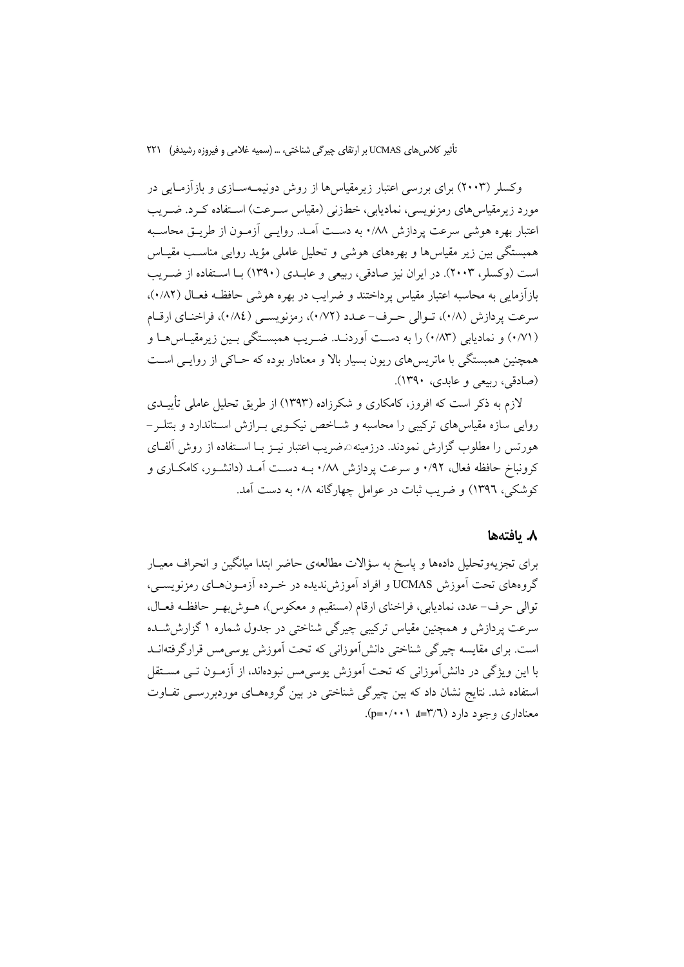وکسلر (۲۰۰۳) برای بررسی اعتبار زیرمقیاس ها از روش دونیمـهســازی و بازآزمــایی در مورد زیرمقیاسهای رمزنویسی، نمادیابی، خطزنی (مقیاس سـرعت) اسـتفاده کـرد. ضـریب اعتبار بهره هوشی سرعت یردازش ۰/۸۸ به دست آمـد. روایــی آزمــون از طریــق محاســبه همبستگی بین زیر مقیاس ها و بهرههای هوشی و تحلیل عاملی مؤید روایی مناسب مقیـاس است (وكسلر، ٢٠٠٣). در ايران نيز صادقي، ريبعي و عابـدي (١٣٩٠) بــا اسـتفاده از ضـريب بازآزمایی به محاسبه اعتبار مقیاس پرداختند و ضرایب در بهره هوشی حافظـه فعـال (۰/۸۲)، سرعت پردازش (۰/۸)، تـوالي حـرف- عـدد (۰/۷۲)، رمزنويسـي (۰/۸٤)، فراخنـاي ارقـام (۰/۷۱) و نمادیابی (۰/۸۳) را به دست آوردنـد. ضـریب همبسـتگی بـین زیرمقیـاس۵هـا و همچنین همبستگی با ماتریسهای ریون بسیار بالا و معنادار بوده که حـاکی از روایـی اسـت (صادقي، ربيعي و عابدي، ١٣٩٠).

لازم به ذکر است که افروز، کامکاری و شکرزاده (۱۳۹۳) از طریق تحلیل عاملی تأییــدی روایی سازه مقیاس های ترکیبی را محاسبه و شــاخص نیکـویی بــرازش اســتاندارد و بنتلــر – هورتس را مطلوب گزارش نمودند. درزمینهのضریب اعتبار نیــز بــا اســتفاده از روش آلفــای کرونباخ حافظه فعال، ۰/۹۲ و سرعت پردازش ۰/۸۸ بـه دسـت آمـد (دانشـور، کامکـاری و کوشکی، ۱۳۹٦) و ضریب ثبات در عوامل چهارگانه ۰/۸ به دست آمد.

### ٨. يافتەھا

برای تجزیهوتحلیل دادهها و پاسخ به سؤالات مطالعهی حاضر ابتدا میانگین و انحراف معیـار گروههای تحت آموزش UCMAS و افراد آموزش ندیده در خـرده آزمـونهـای رمزنویســی، توالي حرف–عدد، نماديابي، فراخناي ارقام (مستقيم و معكوس)، هــوش!هــر حافظــه فعــال، سرعت پردازش و همچنین مقیاس ترکیبی چیرگی شناختی در جدول شماره ۱ گزارش شـده است. برای مقایسه چیرگی شناختی دانشآموزانی که تحت آموزش یوسیمس قرارگرفتهانــد با این ویژگی در دانش آموزانی که تحت آموزش یوسی مس نبودهاند، از آزمــون تــی مســتقل استفاده شد. نتایج نشان داد که بین چیرگی شناختی در بین گروههـای موردبررسـی تفـاوت  $(p=*/\cdot)$  at= $\Upsilon/\Upsilon$ ) at= $\Upsilon$  ( $\zeta$ ) at= $\Upsilon$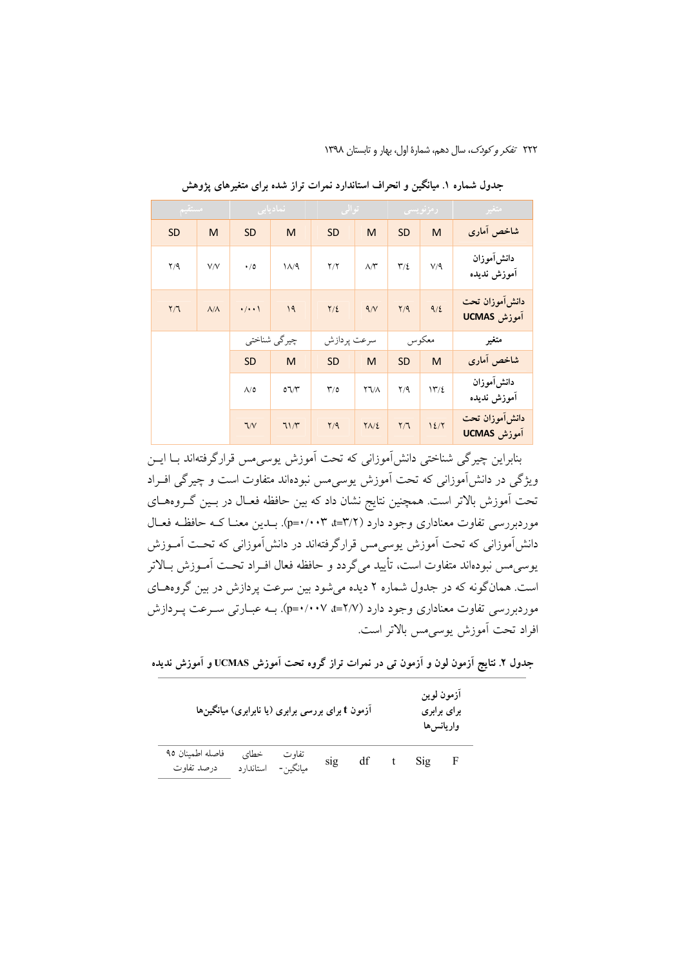٢٢٢ تفكر وكودك، سال دهم، شمارة اول، بهار و تابستان ١٣٩٨

| متغبر                         | - رمزنویس <i>ی</i> |                         |                               | - توالي          | <u>نمادیابی </u> |                      | امستقيم           |                         |              |  |  |  |
|-------------------------------|--------------------|-------------------------|-------------------------------|------------------|------------------|----------------------|-------------------|-------------------------|--------------|--|--|--|
| شاخص آمارى                    | M                  | <b>SD</b>               | M                             | <b>SD</b>        | M                | <b>SD</b>            | M                 | SD                      |              |  |  |  |
| دانش[موزان<br>أموزش نديده     | $V/\mathcal{A}$    | $\mathbf{r}/\mathbf{r}$ | $\wedge \wedge^{\omega}$      | Y/Y              | $\lambda/4$      | $\cdot/0$            | V/V               | Y/9                     |              |  |  |  |
| دانش[موزان تحت<br>آموزش UCMAS | 9/2                | $\gamma$                | 9/ <sup>N</sup>               | $\frac{1}{2}$    | 19               | $\cdot/\cdot\cdot$   | $\Lambda/\Lambda$ | $\mathsf{Y}/\mathsf{T}$ |              |  |  |  |
| متغير                         | معكوس              |                         | سرعت پردازش                   |                  |                  |                      |                   |                         | چیرگی شناختی |  |  |  |
| شاخص آمارى                    | M                  | <b>SD</b>               | M                             | <b>SD</b>        | M                | <b>SD</b>            |                   |                         |              |  |  |  |
| دانش[موزان<br>أموزش نديده     | 11/2               | $\Upsilon/\Upsilon$     | $\Upsilon \Upsilon / \Lambda$ | $\mathbf{r}_{0}$ | $O^{\bullet}$    | $\Lambda/\mathsf{O}$ |                   |                         |              |  |  |  |
| دانش[موزان تحت<br>اموزش UCMAS | 12/7               | Y/T                     | $Y\Lambda/\Sigma$             | Y/9              | 71/7             | 7/V                  |                   |                         |              |  |  |  |

جدول شماره ۱. میانگین و انحراف استاندارد نمرات تراز شده برای متغیرهای یژوهش

بنابراین چیرگی شناختی دانش آموزانی که تحت آموزش پوسی مس قرارگرفتهاند بــا ایـــن ویژگی در دانش آموزانی که تحت آموزش یوسی مس نبودهاند متفاوت است و چیرگی افـراد تحت آموزش بالاتر است. همچنین نتایج نشان داد که بین حافظه فعـال در بـین گـروههـای موردبررسی تفاوت معناداری وجود دارد (۳/۲=۰/۰۰۳=۰). بـدین معنــا کــه حافظــه فعــال دانشآموزانی که تحت آموزش یوسی مس قرارگرفتهاند در دانشآموزانی که تحت آمـوزش يوسي مس نبودهاند متفاوت است، تأييد مي گردد و حافظه فعال افـراد تحـت آمـوزش بـالاتر است. همانگونه که در جدول شماره ۲ دیده می شود بین سرعت پردازش در بین گروههای موردبررسی تفاوت معناداری وجود دارد (۲/۷=۰/۰۰۷+p=۰/۰۰۷). بــه عبـارتی سـرعت پـردازش افراد تحت آموزش یوسی مس بالاتر است.

جدول ۲. نتایج آزمون لون و آزمون تمی در نمرات تراز گروه تحت آموزش UCMAS و آموزش ندیده

| آزمون t برای بررسی برابری (یا نابرابری) میانگینها |                   |                   | آزمون لوين<br>برای برابری<br>واريانس ها |    |   |     |     |
|---------------------------------------------------|-------------------|-------------------|-----------------------------------------|----|---|-----|-----|
| فاصله اطمينان ٩٥<br>درصد تفاوت                    | خطاي<br>استاندارد | تفاوت<br>ميانگين- | sig                                     | df | t | Sig | – F |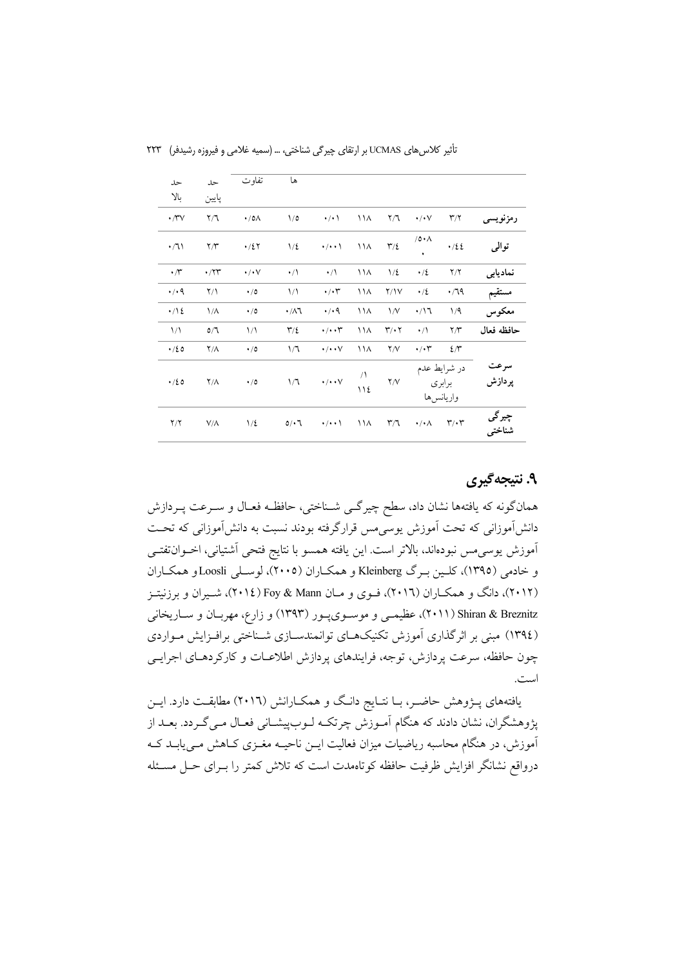| حل                   | حل                           | تفاو ت               | ها                      |                        |          |                              |                                     |                         |                 |
|----------------------|------------------------------|----------------------|-------------------------|------------------------|----------|------------------------------|-------------------------------------|-------------------------|-----------------|
| بالا                 | پايين                        |                      |                         |                        |          |                              |                                     |                         |                 |
| $\cdot$ / $\vee$     | $\mathsf{Y}/\mathsf{Y}$      | $\cdot$ /0 $\wedge$  | 1/0                     | $\cdot/\cdot$          | ۱۱۸      | $\mathsf{Y}/\mathsf{Y}$      | $\cdot/\cdot\vee$                   | $\mathbf{r}/\mathbf{r}$ | رمزنويسى        |
| $\cdot/1$            | $\Upsilon/\Upsilon$          | $\cdot/2$ $\tau$     | $1/\epsilon$            | $\cdot$ / $\cdot$ \    | ۱۱۸      | $\Upsilon/\xi$               | /0.1                                | .722                    | توالى           |
| $\cdot$ / $\sim$     | $\cdot$ / $\Upsilon\Upsilon$ | $\cdot/\cdot\vee$    | $\cdot/\wedge$          | $\cdot/$               | ۱۱۸      | $1/\epsilon$                 | $\cdot/2$                           | Y/Y                     | نماديابي        |
| $\cdot$ / $\cdot$ 9  | $\Upsilon/\Upsilon$          | $\cdot/0$            | $\frac{1}{\sqrt{2}}$    | $\cdot/\cdot$ ۳        | ۱۱۸      | Y/Y                          | $\cdot/2$                           | .79                     | مستقيم          |
| $\cdot/\sqrt{2}$     | $1/\lambda$                  | $\cdot/0$            | $\cdot/\lambda$ ٦       | $\cdot$ / $\cdot$ 9    | ۱۱۸      | $\frac{1}{V}$                | $\cdot/17$                          | 1/9                     | معكوس           |
| $\frac{1}{\sqrt{2}}$ | 0/1                          | $\frac{1}{\sqrt{2}}$ | $\mathbf{r}/\mathbf{r}$ | $\cdot/\cdot\cdot$     | ۱۱۸      | $\mathbf{r}/\cdot\mathbf{r}$ | $\cdot/$                            | $\Upsilon/\Upsilon$     | حافظه فعال      |
| .40                  | $Y/\Lambda$                  | $\cdot/0$            | 1/7                     | $\cdot/\cdot\cdot\vee$ | ۱۱۸      | Y/V                          | $\cdot/\cdot$ ۳                     | $2\pi$                  |                 |
| .120                 | $Y/\Lambda$                  | $\cdot/0$            | 1/7                     | $\cdot/\cdot\cdot\vee$ | ر<br>۱۱٤ | Y/V                          | در شرايط عدم<br>برابري<br>واريانسها |                         | سرعت<br>پردازش  |
| $\Upsilon/\Upsilon$  | $V/\Lambda$                  | $1/\epsilon$         | $0/\cdot 7$             | $\cdot/\cdot\cdot$     | ۱۱۸      | $\mathsf{r} / \mathsf{r}$    | $\cdot/\cdot \wedge$                | $\mathbf{r}/\mathbf{r}$ | چیرگی<br>شناختي |

تأثیر کلاس های UCMAS بر ارتقای چیرگی شناختی، … (سمیه غلامی و فیروزه رشیدفر) ۲۲۳

# ۹. نتیجهگیری

همانگونه که یافتهها نشان داد، سطح چیرگــی شــناختی، حافظــه فعــال و ســرعت پــردازش دانشآموزانی که تحت آموزش یوسی مس قرارگرفته بودند نسبت به دانشآموزانی که تحـت آموزش يوسىمس نبودهاند، بالاتر است. اين يافته همسو با نتايج فتحى أشتياني، اخـوان تفتـى و خادمی (١٣٩٥)، کلين برگ Kleinberg و همكـاران (٢٠٠٥)، لوسـلي Loosli و همكـاران (۲۰۱۲)، دانگ و همکـاران (۲۰۱٦)، فـوي و مـان Foy & Mann (۲۰۱٤)، شـيران و برزنيتـز Shiran & Breznitz (۲۰۱۱)، عظیمی و موسـوی پـور (۱۳۹۳) و زارع، مهربـان و سـاریخانی (١٣٩٤) مبنی بر اثر گذاری آموزش تکنیکهـای توانمندسـازی شـناختی برافـزایش مـواردی چون حافظه، سرعت پردازش، توجه، فرایندهای پردازش اطلاعــات و کارکردهــای اجرایــی است.

یافتههای پـژوهش حاضـر، بـا نتـایج دانـگ و همکـارانش (۲۰۱٦) مطابقـت دارد. ایــن .<br>پژوهشگران، نشان دادند که هنگام آمـوزش چرتکـه لـوبپیشـانی فعـال مـیگـردد. بعــد از آموزش، در هنگام محاسبه ریاضیات میزان فعالیت ایــن ناحیــه مغــزی کــاهش مــیlبابـد کــه درواقع نشانگر افزایش ظرفیت حافظه کوتاهمدت است که تلاش کمتر را بـرای حـل مسـئله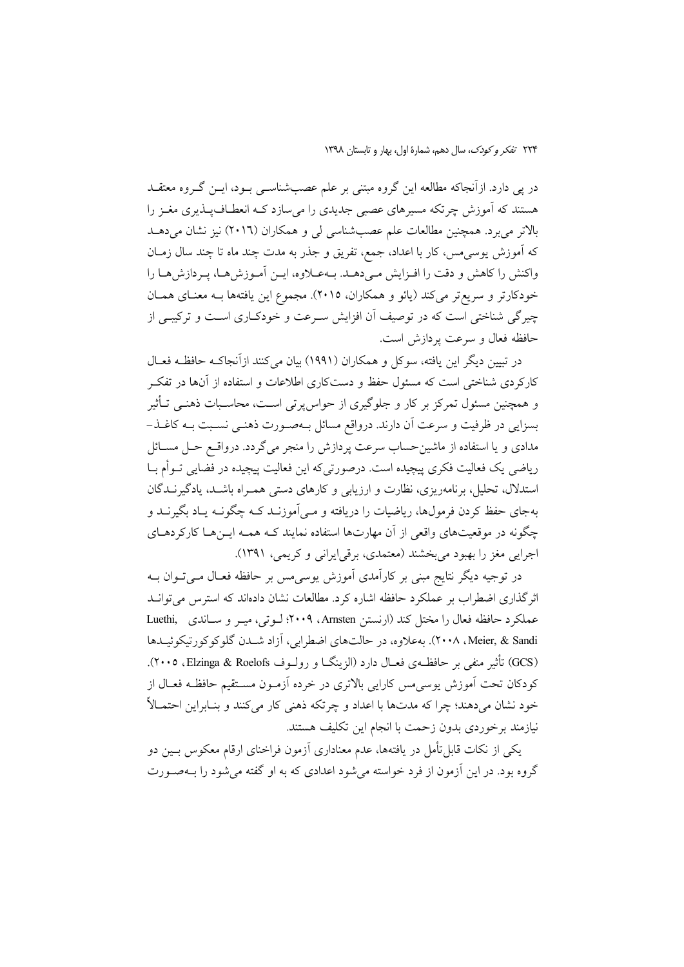در پی دارد. ازآنجاکه مطالعه این گروه مبتنی بر علم عصبشناسـی بــود، ایــن گــروه معتقــد هستند که آموزش چرتکه مسیرهای عصبی جدیدی را می سازد کـه انعطـاف<code>یـذیری</code> مغـز را بالاتر میبرد. همچنین مطالعات علم عصب شناسی لی و همکاران (۲۰۱٦) نیز نشان میدهـد که اَموزش یوسی مس، کار با اعداد، جمع، تفریق و جذر به مدت چند ماه تا چند سال زمــان واكنش را كاهش و دقت را افـزايش مـىدهـد. بـهعـلاوه، ايــن آمـوزش۵هـا، يـردازشهـا را خودکارتر و سریعتر میکند (یائو و همکاران، ۲۰۱۵). مجموع این یافتهها بـه معنـای همـان چیرگی شناختی است که در توصیف آن افزایش سـرعت و خودکـاری اسـت و ترکیبـی از حافظه فعال و سرعت پردازش است.

در تبیین دیگر این یافته، سوکل و همکاران (۱۹۹۱) بیان می کنند ازآنجاکـه حافظـه فعـال کارکردی شناختی است که مسئول حفظ و دستکاری اطلاعات و استفاده از آنها در تفک و همچنین مسئول تمرکز بر کار و جلوگیری از حواس پرتی است، محاسـبات ذهنــی تــأثیر بسزایی در ظرفیت و سرعت آن دارند. درواقع مسائل بـهصـورت ذهنـی نسـبت بـه كاغـذ– مدادی و یا استفاده از ماشینحساب سرعت پردازش را منجر می گردد. درواقـع حـل مســائل ریاضی یک فعالیت فکری پیچیده است. درصورتیکه این فعالیت پیچیده در فضایی تــوأم بــا استدلال، تحلیل، برنامهریزی، نظارت و ارزیابی و کارهای دستی همـراه باشـد، یادگیرنـدگان بهجای حفظ کردن فرمولها، ریاضیات را دریافته و مــی|موزنــد کــه چگونــه یــاد بگیرنــد و چگونه در موقعیتهای واقعی از آن مهارتها استفاده نمایند کـه همـه ایــنهـا کارکردهـای اجرایی مغز را بهبود میبخشند (معتمدی، برقی ایرانی و کریمی، ۱۳۹۱).

در توجیه دیگر نتایج مبنی بر کارآمدی آموزش یوسی مس بر حافظه فعـال مـیتـوان بــه اثرگذاری اضطراب بر عملکرد حافظه اشاره کرد. مطالعات نشان دادهاند که استرس می توانــد عملکرد حافظه فعال را مختل کند (ارنستن Arnsten، ۲۰۰۹؛ لـوتی، میـر و سـاندی Luethi, Meier, & Sandi، ۲۰۰۸). به علاوه، در حالتهای اضطرابی، آزاد شـدن گلوکوکورتیکوئیـدها (GCS) تأثیر منفی بر حافظـهی فعــال دارد (الزینگــا و رولــوف Elzinga & Roelofs، ۲۰۰۵). كودكان تحت آموزش يوسى مس كارايي بالاترى در خرده آزمـون مســتقيم حافظـه فعــال از خود نشان می دهند؛ چرا که مدتها با اعداد و چرتکه ذهنی کار می کنند و بنـابراین احتمـالاً نیازمند برخوردی بدون زحمت با انجام این تکلیف هستند.

یکی از نکات قابل تأمل در یافتهها، عدم معناداری آزمون فراخنای ارقام معکوس بسین دو گروه بود. در این آزمون از فرد خواسته می شود اعدادی که به او گفته می شود را بــهصــورت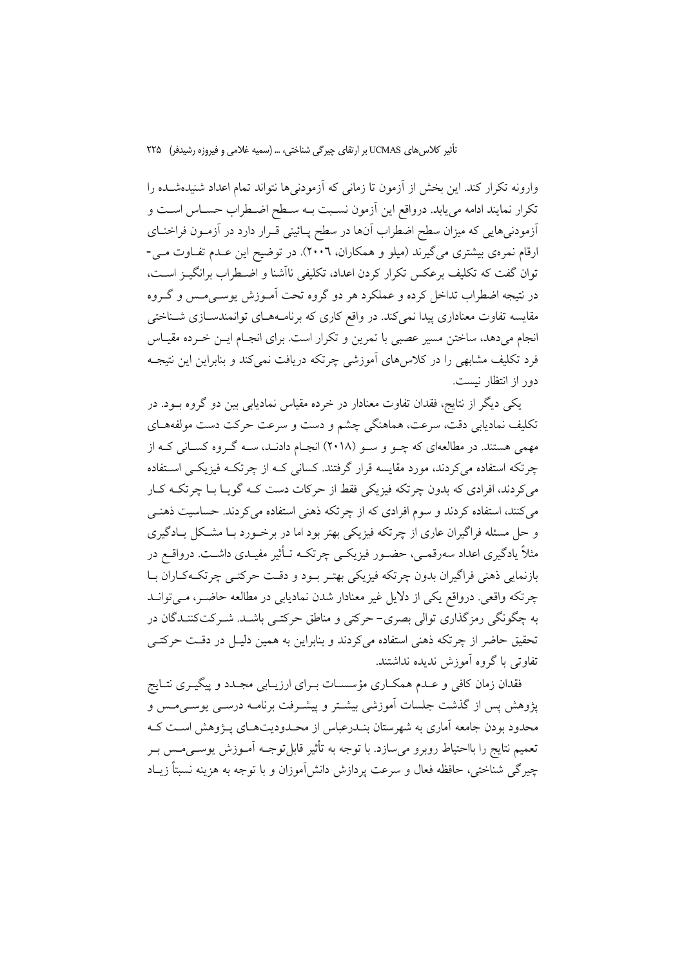وارونه تكرار كند. اين بخش از آزمون تا زماني كه آزمودني ها نتواند تمام اعداد شنيدهشـده را تکرار نمایند ادامه میbبابد. درواقع این آزمون نسـبت بــه سـطح اضـطراب حســاس اســت و أزمودنیهایی که میزان سطح اضطراب آنها در سطح پـائینی قـرار دارد در آزمـون فراخنـای ارقام نمرهی بیشتری میگیرند (میلو و همکاران، ۲۰۰٦). در توضیح این عـدم تفـاوت مـی-توان گفت که تکلیف برعکس تکرار کردن اعداد، تکلیفی نااَشنا و اضـطراب برانگیــز اســت، در نتیجه اضطراب تداخل کرده و عملکرد هر دو گروه تحت آمـوزش پوسـیمـس و گـروه مقایسه تفاوت معناداری پیدا نمیکند. در واقع کاری که برنامـههـای توانمندسـازی شـناختی انجام می دهد، ساختن مسیر عصبی با تمرین و تکرار است. برای انجـام ایــن خــرده مقیــاس فرد تکلیف مشابهی را در کلاس های آموزشی چرتکه دریافت نمی کند و بنابراین این نتیجـه دور از انتظار نیست.

یکی دیگر از نتایج، فقدان تفاوت معنادار در خرده مقیاس نمادیابی بین دو گروه بـود. در تکلیف نمادیابی دقت، سرعت، هماهنگی چشم و دست و سرعت حرکت دست مولفههـای مهمی هستند. در مطالعهای که چـو و سـو (۲۰۱۸) انجـام دادنـد، سـه گـروه کسـانی کـه از چرتکه استفاده میکردند، مورد مقایسه قرار گرفتند. کسان<sub>ی</sub> کـه از چرتکــه فیزیکــی اســتفاده می کردند، افرادی که بدون چرتکه فیزیکی فقط از حرکات دست کـه گویـا بـا چرتکـه کـار می کنند، استفاده کردند و سوم افرادی که از چرتکه ذهنی استفاده می کردند. حساسیت ذهنبی و حل مسئله فراگیران عاری از چرتکه فیزیکی بهتر بود اما در برخـورد بـا مشـکل پـادگیری مثلاً یادگیری اعداد سەرقمـی، حضـور فیزیکـی چرتکـه تـأثیر مفیـدی داشـت. درواقــع در بازنمايي ذهني فراگيران بدون چرتکه فيزيکي بهتـر بـود و دقـت حرکتـي چرتکـهکـاران بـا چرتکه واقعی. درواقع یکی از دلایل غیر معنادار شدن نمادیابی در مطالعه حاضـر، مـی توانــد به چگونگی رمزگذاری توالی بصری–حرکتی و مناطق حرکتـی باشــد. شــرکتکننــدگان در تحقیق حاضر از چرتکه ذهنی استفاده میکردند و بنابراین به همین دلیـل در دقـت حرکتـی تفاوتي باگروه آموزش نديده نداشتند.

فقدان زمان کافی و عـدم همکــاری مؤسســات بــرای ارزیــابی مجـدد و پیگیــری نتــایج یژوهش پس از گذشت جلسات آموزشی بیشتر و پیشـرفت برنامــه درســی پوســی،مــس و محدود بودن جامعه آماری به شهرستان بنــدرعباس از محــدودیتهــای پـــۋوهش اســت کــه تعميم نتايج را بااحتياط روبرو مي سازد. با توجه به تأثير قابل توجــه آمــوزش يوســـي مــس بــر چیرگی شناختی، حافظه فعال و سرعت پردازش دانشآموزان و با توجه به هزینه نسبتاً زیـاد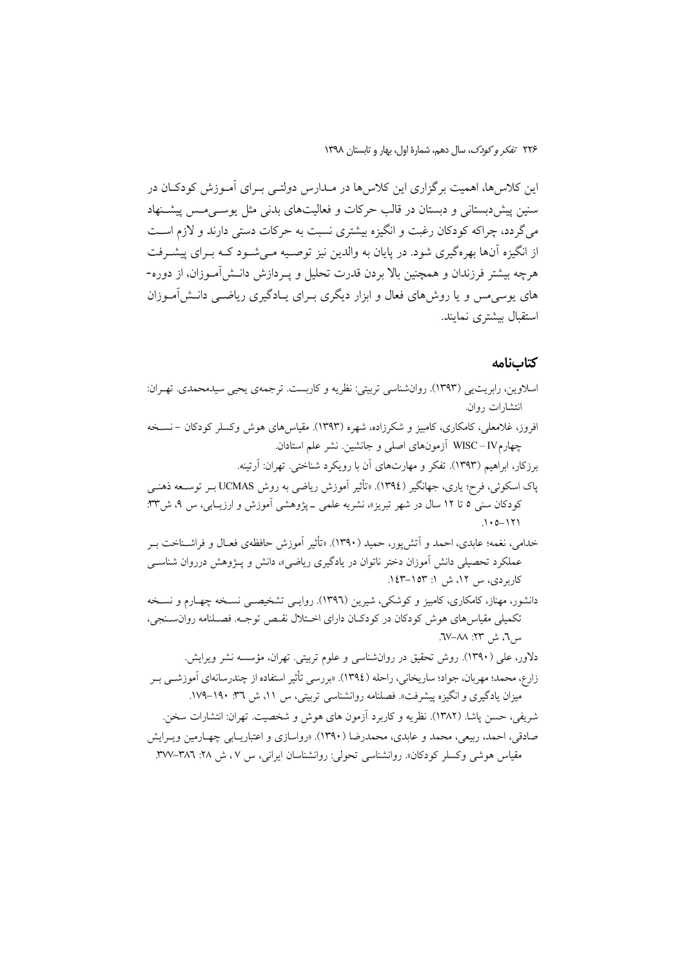این کلاس۵ها، اهمیت برگزاری این کلاس۵ا در مــدارس دولتــی بــرای آمــوزش کودکــان در سنین پیش دبستانی و دبستان در قالب حرکات و فعالیتهای بدنی مثل یوسه مس پیشنهاد می گردد، چراکه کودکان رغبت و انگیزه بیشتری نسبت به حرکات دستی دارند و لازم اسـت از انگیزه آنها بهرهگیری شود. در پایان به والدین نیز توصـیه مـی شـود کـه بـرای پیشـرفت هرچه بیشتر فرزندان و همچنین بالا بردن قدرت تحلیل و پــردازش دانــش|مــوزان، از دوره-های پوسی مس و یا روش های فعال و ابزار دیگری بـرای پــادگیری ریاضــی دانــش|مــوزان استقبال بیشتری نمایند.

### كتابنامه

کاربردی، س ١٢، ش ١: ١٥٣-١٤٣.

- اسلاوين، رابريتيي (١٣٩٣). روانشناسي تربيتي: نظريه و كاربست. ترجمهي يحيي سيدمحمدي. تهـران: انتشارات روان. افروز، غلامعلی، کامکاری، کامبیز و شکرزاده، شهره (۱۳۹۳). مقیاس های هوش وکسلر کودکان –نسـخه چهارمUISC-IV آزمونهای اصلی و جانشین. نشر علم استادان. برزکار، ابراهیم (۱۳۹۳). تفکر و مهارتهای آن با رویکرد شناختی. تهران: آرتینه. یاک اسکوئی، فرح؛ یاری، جھانگیر (١٣٩٤). «تأثیر آموزش ریاضی به روش UCMAS بــر توســعه ذهنــی کودکان سنی ٥ تا ١٢ سال در شهر تبریز»، نشریه علمی ـ پژوهشی اَموزش و ارزیــابی، س ٩، ش٣٣:  $.10 - 171$ خدامی، نغمه؛ عابدی، احمد و اَتش پور، حمید (۱۳۹۰). «تأثیر آموزش حافظهی فعـال و فراشـناخت بـر عملکرد تحصیلی دانش آموزان دختر ناتوان در یادگیری ریاضی»، دانش و پـژوهش درروان شناســی
- دانشور، مهناز، کامکاری، کامبیز و کوشکی، شیرین (۱۳۹٦). روایـی تشخیصـی نسـخه چهـارم و نسـخه تکمیلی مقیاس های هوش کودکان در کودکان دارای اختلال نقسص توجـه. فصـلنامه روانسـنجی، س7، ش ۲۳: ۸۸–۲۷.

دلاور، علی (۱۳۹۰). روش تحقیق در روانشناسی و علوم تربیتی. تهران، مؤسسه نشر ویرایش. زارع، محمد؛ مهربان، جواد؛ ساريخاني، راحله (١٣٩٤). «بررسي تأثير استفاده از چندرسانهاي آموزشـي بـر میزان یادگیری و انگیزه پیشرفت». فصلنامه روانشناسی تربیتی، س ۱۱، ش ۳٦: ۱۹۰–۱۷۹. شريفي، حسن پاشا. (١٣٨٢). نظريه و كاربرد آزمون هاى هوش و شخصيت. تهران: انتشارات سخن. صادقی، احمد، ربیعی، محمد و عابدی، محمدرضا (۱۳۹۰). «رواسازی و اعتباریبایی چهبارمین و پیرایش مقیاس هوشی وکسلر کودکان». روانشناسی تحولی: روانشناسان ایرانی، س ۷، ش ۲۸: ۳۸٦–۳۷۷.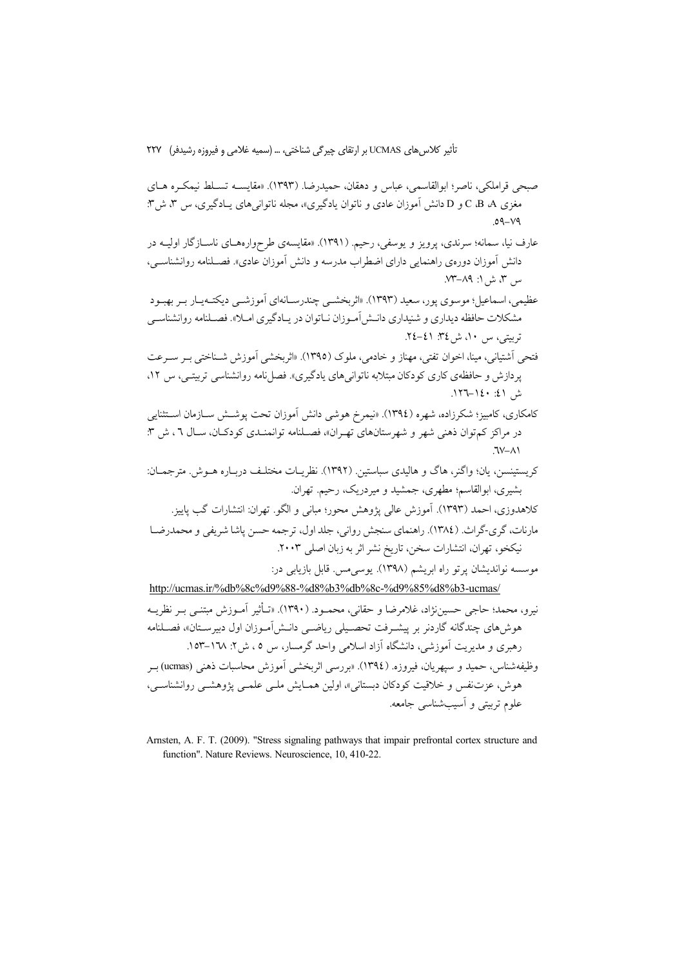- صبحي قراملكي، ناصر؛ ابوالقاسمي، عباس و دهقان، حميدرضا. (١٣٩٣). «مقايســه تســلط نيمكــره هــاي مغزی C ،B ،A و D دانش آموزان عادی و ناتوان یادگیری»، مجله ناتوانیهای یـادگیری، س ۳، ش۳:  $.09 - V9$
- عارف نیا، سمانه؛ سرندی، پرویز و یوسفی، رحیم. (۱۳۹۱). «مقایسهی طرحوارههـای ناســازگار اولیــه در دانش آموزان دورهی راهنمایی دارای اضطراب مدرسه و دانش آموزان عادی». فصـلنامه روانشناسـی، س ٣، ش ١: ٨٩–٧٣.
- عظیمی، اسماعیل؛ موسوی پور، سعید (۱۳۹۳). «اثربخشــی چندرسـانهای آموزشــی دیکتــهیــار بـر بهبــود مشکلات حافظه دیداری و شنیداری دانـش آمـوزان نـاتوان در یـادگیری امـلا». فصـلنامه روانشناسـی تربيتي، س ١٠، ش ٣٤: ٤١-٢٤.
- فتحي أشتياني، مينا، اخوان تفتي، مهناز و خادمي، ملوك (١٣٩٥). «اثربخشي أموزش شـناختي بـر سـرعت پردازش و حافظهی کاری کودکان مبتلابه ناتوانیهای یادگیری». فصل نامه روانشناسی تربیتـی، س ۱۲، ش ١٤٠-١٤٠-١٢٦.
- کامکاری، کامبیز؛ شکرزاده، شهره (١٣٩٤). «نیمرخ هوشی دانش آموزان تحت پوشــش ســازمان اســتثنایی در مراكز كم توان ذهني شهر و شهرستانهاي تهـران»، فصـلنامه توانمنـدي كودكـان، سـال ٦ ، ش ٣:  $7V - A$
- كريستينسن، يان؛ واگنر، هاگ و هاليدي سباستين. (١٣٩٢). نظريـات مختلـف دربـاره هــوش. مترجمــان: بشیری، ابوالقاسم؛ مطهری، جمشید و میردریک، رحیم. تهران.
- كلاهدوزي، احمد (١٣٩٣). آموزش عالي پژوهش محور؛ مباني و الگو. تهران: انتشارات گب پاييز. مارنات، گري-گراث. (١٣٨٤). راهنماي سنجش رواني، جلد اول، ترجمه حسن ياشا شريفي و محمدرضــا نیکخو، تهران، انتشارات سخن، تاریخ نشر اثر به زبان اصلی ۲۰۰۳.

موسسه نواندیشان پرتو راه ابریشم (۱۳۹۸). یوسی مس. قابل بازیابی در: http://ucmas.ir/%db%8c%d9%88-%d8%b3%db%8c-%d9%85%d8%b3-ucmas/

نيرو، محمد؛ حاجي حسيننژاد، غلامرضا و حقاني، محمــود. (١٣٩٠). «تــأثير آمــوزش مبتنــي بــر نظريــه هوش های چندگانه گاردنر بر پیشـرفت تحصـیلی ریاضــی دانــش آمـوزان اول دبیرســتان»، فصــلنامه رهبری و مدیریت آموزشی، دانشگاه آزاد اسلامی واحد گرمسار، س ٥ ، ش۲. ١٦٨–١٥٣.

وظيفهشناس، حميد و سيهريان، فيروزه. (١٣٩٤). «بررسي اثربخشي آموزش محاسبات ذهني (ucmas) بـر هوش، عزتنفس و خلاقیت کودکان دبستانی»، اولین همـایش ملـی علمـی یژوهشـی روانشناسـی، علوم تربيتي و آسيبشناسي جامعه.

Arnsten, A. F. T. (2009). "Stress signaling pathways that impair prefrontal cortex structure and function". Nature Reviews. Neuroscience, 10, 410-22.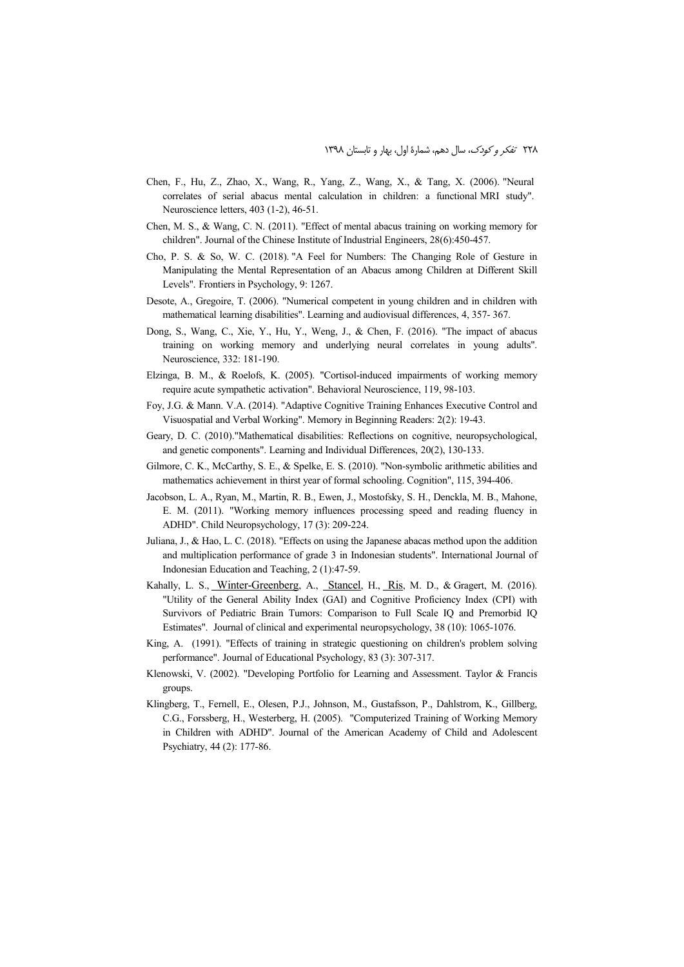- Chen, F., Hu, Z., Zhao, X., Wang, R., Yang, Z., Wang, X., & Tang, X. (2006). "Neural correlates of serial abacus mental calculation in children: a functional MRI study". Neuroscience letters, 403 (1-2), 46-51.
- Chen, M. S., & Wang, C. N. (2011). "Effect of mental abacus training on working memory for children". Journal of the Chinese Institute of Industrial Engineers, 28(6):450-457.
- Cho, P. S. & So, W. C. (2018). "A Feel for Numbers: The Changing Role of Gesture in Manipulating the Mental Representation of an Abacus among Children at Different Skill Levels". Frontiers in Psychology, 9: 1267.
- Desote, A., Gregoire, T. (2006). "Numerical competent in young children and in children with mathematical learning disabilities". Learning and audiovisual differences, 4, 357- 367.
- Dong, S., Wang, C., Xie, Y., Hu, Y., Weng, J., & Chen, F. (2016). "The impact of abacus training on working memory and underlying neural correlates in young adults". Neuroscience, 332: 181-190.
- Elzinga, B. M., & Roelofs, K. (2005). "Cortisol-induced impairments of working memory require acute sympathetic activation". Behavioral Neuroscience, 119, 98-103.
- Foy, J.G. & Mann. V.A. (2014). "Adaptive Cognitive Training Enhances Executive Control and Visuospatial and Verbal Working". Memory in Beginning Readers: 2(2): 19-43.
- Geary, D. C. (2010)."Mathematical disabilities: Reflections on cognitive, neuropsychological, and genetic components". Learning and Individual Differences, 20(2), 130-133.
- Gilmore, C. K., McCarthy, S. E., & Spelke, E. S. (2010). "Non-symbolic arithmetic abilities and mathematics achievement in thirst year of formal schooling. Cognition", 115, 394-406.
- Jacobson, L. A., Ryan, M., Martin, R. B., Ewen, J., Mostofsky, S. H., Denckla, M. B., Mahone, E. M. (2011). "Working memory influences processing speed and reading fluency in ADHD". Child Neuropsychology, 17 (3): 209-224.
- Juliana, J., & Hao, L. C. (2018). "Effects on using the Japanese abacas method upon the addition and multiplication performance of grade 3 in Indonesian students". International Journal of Indonesian Education and Teaching, 2 (1):47-59.
- Kahally, L. S., Winter-Greenberg, A., Stancel, H., Ris, M. D., & Gragert, M. (2016). "Utility of the General Ability Index (GAI) and Cognitive Proficiency Index (CPI) with Survivors of Pediatric Brain Tumors: Comparison to Full Scale IQ and Premorbid IQ Estimates". Journal of clinical and experimental neuropsychology, 38 (10): 1065-1076.
- King, A. (1991). "Effects of training in strategic questioning on children's problem solving performance". Journal of Educational Psychology, 83 (3): 307-317.
- Klenowski, V. (2002). "Developing Portfolio for Learning and Assessment. Taylor & Francis groups.
- Klingberg, T., Fernell, E., Olesen, P.J., Johnson, M., Gustafsson, P., Dahlstrom, K., Gillberg, C.G., Forssberg, H., Westerberg, H. (2005). "Computerized Training of Working Memory in Children with ADHD". Journal of the American Academy of Child and Adolescent Psychiatry, 44 (2): 177-86.